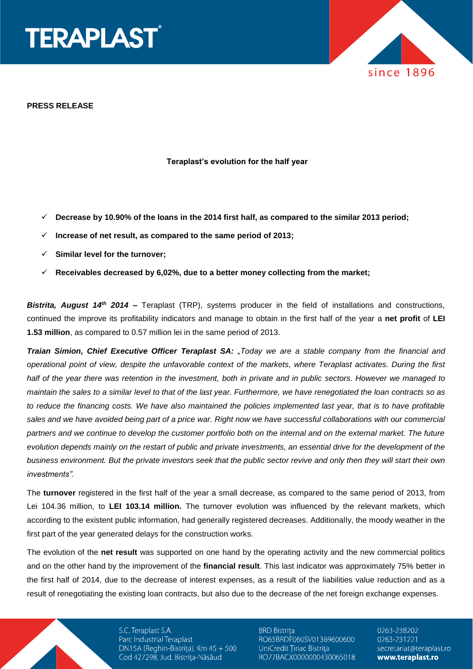

**PRESS RELEASE**

#### **Teraplast's evolution for the half year**

- **Decrease by 10.90% of the loans in the 2014 first half, as compared to the similar 2013 period;**
- **Increase of net result, as compared to the same period of 2013;**
- **Similar level for the turnover;**
- **Receivables decreased by 6,02%, due to a better money collecting from the market;**

*Bistrita, August 14th 2014 –* Teraplast (TRP), systems producer in the field of installations and constructions, continued the improve its profitability indicators and manage to obtain in the first half of the year a **net profit** of **LEI 1.53 million**, as compared to 0.57 million lei in the same period of 2013.

*Traian Simion, Chief Executive Officer Teraplast SA: "Today we are a stable company from the financial and operational point of view, despite the unfavorable context of the markets, where Teraplast activates. During the first half of the year there was retention in the investment, both in private and in public sectors. However we managed to maintain the sales to a similar level to that of the last year. Furthermore, we have renegotiated the loan contracts so as to reduce the financing costs. We have also maintained the policies implemented last year, that is to have profitable sales and we have avoided being part of a price war. Right now we have successful collaborations with our commercial partners and we continue to develop the customer portfolio both on the internal and on the external market. The future evolution depends mainly on the restart of public and private investments, an essential drive for the development of the business environment. But the private investors seek that the public sector revive and only then they will start their own investments".*

The **turnover** registered in the first half of the year a small decrease, as compared to the same period of 2013, from Lei 104.36 million, to **LEI 103.14 million.** The turnover evolution was influenced by the relevant markets, which according to the existent public information, had generally registered decreases. Additionally, the moody weather in the first part of the year generated delays for the construction works.

The evolution of the **net result** was supported on one hand by the operating activity and the new commercial politics and on the other hand by the improvement of the **financial result**. This last indicator was approximately 75% better in the first half of 2014, due to the decrease of interest expenses, as a result of the liabilities value reduction and as a result of renegotiating the existing loan contracts, but also due to the decrease of the net foreign exchange expenses.

> S.C. Teraplast S.A. Parc Industrial Teraplast DN15A (Reghin-Bistrița), Km 45 + 500 Cod 427298, Jud. Bistrița-Năsăud

**BRD Bistrița** RO65BRDE060SV01369600600 UniCredit Țiriac Bistrița RO77BACX0000000430065018

0263-238202 0263-231221 secretariat@teraplast.ro www.teraplast.ro

since 1896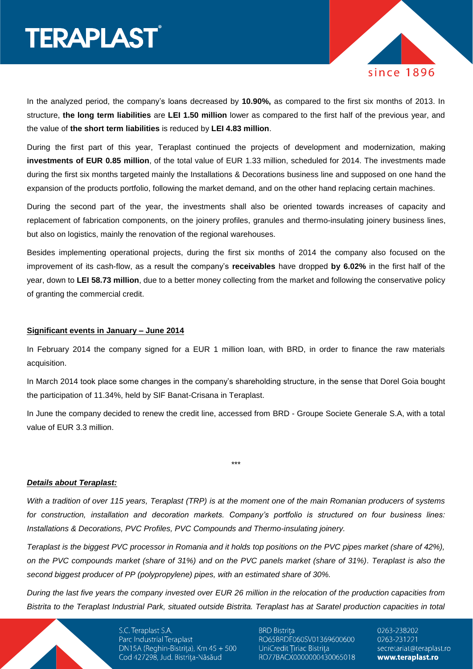# **TERAPLAST**®



In the analyzed period, the company's loans decreased by **10.90%,** as compared to the first six months of 2013. In structure, **the long term liabilities** are **LEI 1.50 million** lower as compared to the first half of the previous year, and the value of **the short term liabilities** is reduced by **LEI 4.83 million**.

During the first part of this year, Teraplast continued the projects of development and modernization, making **investments of EUR 0.85 million**, of the total value of EUR 1.33 million, scheduled for 2014. The investments made during the first six months targeted mainly the Installations & Decorations business line and supposed on one hand the expansion of the products portfolio, following the market demand, and on the other hand replacing certain machines.

During the second part of the year, the investments shall also be oriented towards increases of capacity and replacement of fabrication components, on the joinery profiles, granules and thermo-insulating joinery business lines, but also on logistics, mainly the renovation of the regional warehouses.

Besides implementing operational projects, during the first six months of 2014 the company also focused on the improvement of its cash-flow, as a result the company's **receivables** have dropped **by 6.02%** in the first half of the year, down to **LEI 58.73 million**, due to a better money collecting from the market and following the conservative policy of granting the commercial credit.

#### **Significant events in January – June 2014**

In February 2014 the company signed for a EUR 1 million loan, with BRD, in order to finance the raw materials acquisition.

In March 2014 took place some changes in the company's shareholding structure, in the sense that Dorel Goia bought the participation of 11.34%, held by SIF Banat-Crisana in Teraplast.

In June the company decided to renew the credit line, accessed from BRD - Groupe Societe Generale S.A, with a total value of EUR 3.3 million.

\*\*\*

#### *Details about Teraplast:*

*With a tradition of over 115 years, Teraplast (TRP) is at the moment one of the main Romanian producers of systems for construction, installation and decoration markets. Company's portfolio is structured on four business lines: Installations & Decorations, PVC Profiles, PVC Compounds and Thermo-insulating joinery.* 

*Teraplast is the biggest PVC processor in Romania and it holds top positions on the PVC pipes market (share of 42%), on the PVC compounds market (share of 31%) and on the PVC panels market (share of 31%). Teraplast is also the second biggest producer of PP (polypropylene) pipes, with an estimated share of 30%.* 

*During the last five years the company invested over EUR 26 million in the relocation of the production capacities from Bistrita to the Teraplast Industrial Park, situated outside Bistrita. Teraplast has at Saratel production capacities in total* 

> S.C. Teraplast S.A. Parc Industrial Teraplast DN15A (Reghin-Bistrița), Km 45 + 500 Cod 427298, Jud. Bistrița-Năsăud

**BRD Bistrița** RO65BRDE060SV01369600600 UniCredit Țiriac Bistrița RO77BACX0000000430065018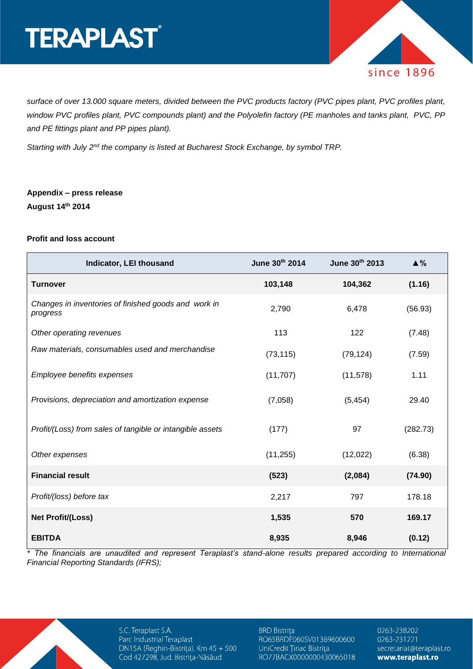# **TERAPLAST**®



*surface of over 13.000 square meters, divided between the PVC products factory (PVC pipes plant, PVC profiles plant, window PVC profiles plant, PVC compounds plant) and the Polyolefin factory (PE manholes and tanks plant, PVC, PP and PE fittings plant and PP pipes plant).* 

*Starting with July 2nd the company is listed at Bucharest Stock Exchange, by symbol TRP.* 

### **Appendix – press release August 14th 2014**

#### **Profit and loss account**

| Indicator, LEI thousand                                          | June 30th 2014 | June 30th 2013 | $\triangle$ % |
|------------------------------------------------------------------|----------------|----------------|---------------|
| <b>Turnover</b>                                                  | 103,148        | 104,362        | (1.16)        |
| Changes in inventories of finished goods and work in<br>progress | 2,790          | 6,478          | (56.93)       |
| Other operating revenues                                         | 113            | 122            | (7.48)        |
| Raw materials, consumables used and merchandise                  | (73, 115)      | (79, 124)      | (7.59)        |
| Employee benefits expenses                                       | (11, 707)      | (11, 578)      | 1.11          |
| Provisions, depreciation and amortization expense                | (7,058)        | (5, 454)       | 29.40         |
| Profit/(Loss) from sales of tangible or intangible assets        | (177)          | 97             | (282.73)      |
| Other expenses                                                   | (11, 255)      | (12,022)       | (6.38)        |
| <b>Financial result</b>                                          | (523)          | (2,084)        | (74.90)       |
| Profit/(loss) before tax                                         | 2,217          | 797            | 178.18        |
| <b>Net Profit/(Loss)</b>                                         | 1,535          | 570            | 169.17        |
| <b>EBITDA</b>                                                    | 8,935          | 8,946          | (0.12)        |

*\* The financials are unaudited and represent Teraplast's stand-alone results prepared according to International Financial Reporting Standards (IFRS);*

> S.C. Teraplast S.A. Parc Industrial Teraplast DN15A (Reghin-Bistrița), Km 45 + 500 Cod 427298, Jud. Bistrița-Năsăud

**BRD Bistrița** RO65BRDE060SV01369600600 UniCredit Țiriac Bistrița RO77BACX0000000430065018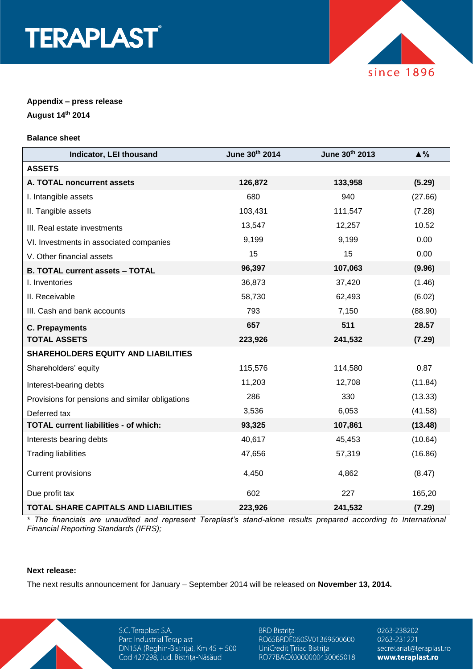



## **Appendix – press release**

**August 14th 2014**

#### **Balance sheet**

| Indicator, LEI thousand                         | June 30th 2014 | June 30th 2013 | $\triangle$ % |
|-------------------------------------------------|----------------|----------------|---------------|
| <b>ASSETS</b>                                   |                |                |               |
| A. TOTAL noncurrent assets                      | 126,872        | 133,958        | (5.29)        |
| I. Intangible assets                            | 680            | 940            | (27.66)       |
| II. Tangible assets                             | 103,431        | 111,547        | (7.28)        |
| III. Real estate investments                    | 13,547         | 12,257         | 10.52         |
| VI. Investments in associated companies         | 9,199          | 9,199          | 0.00          |
| V. Other financial assets                       | 15             | 15             | 0.00          |
| <b>B. TOTAL current assets - TOTAL</b>          | 96,397         | 107,063        | (9.96)        |
| I. Inventories                                  | 36,873         | 37,420         | (1.46)        |
| II. Receivable                                  | 58,730         | 62,493         | (6.02)        |
| III. Cash and bank accounts                     | 793            | 7,150          | (88.90)       |
| <b>C. Prepayments</b>                           | 657            | 511            | 28.57         |
| <b>TOTAL ASSETS</b>                             | 223,926        | 241,532        | (7.29)        |
| <b>SHAREHOLDERS EQUITY AND LIABILITIES</b>      |                |                |               |
| Shareholders' equity                            | 115,576        | 114,580        | 0.87          |
| Interest-bearing debts                          | 11,203         | 12,708         | (11.84)       |
| Provisions for pensions and similar obligations | 286            | 330            | (13.33)       |
| Deferred tax                                    | 3,536          | 6,053          | (41.58)       |
| <b>TOTAL current liabilities - of which:</b>    | 93,325         | 107,861        | (13.48)       |
| Interests bearing debts                         | 40,617         | 45,453         | (10.64)       |
| <b>Trading liabilities</b>                      | 47,656         | 57,319         | (16.86)       |
| <b>Current provisions</b>                       | 4,450          | 4,862          | (8.47)        |
| Due profit tax                                  | 602            | 227            | 165,20        |
| <b>TOTAL SHARE CAPITALS AND LIABILITIES</b>     | 223,926        | 241,532        | (7.29)        |

*\* The financials are unaudited and represent Teraplast's stand-alone results prepared according to International Financial Reporting Standards (IFRS);*

#### **Next release:**

The next results announcement for January – September 2014 will be released on **November 13, 2014.**

S.C. Teraplast S.A. Parc Industrial Teraplast DN15A (Reghin-Bistrița), Km 45 + 500 Cod 427298, Jud. Bistrița-Năsăud

**BRD Bistrița** RO65BRDE060SV01369600600 UniCredit Țiriac Bistrița RO77BACX0000000430065018